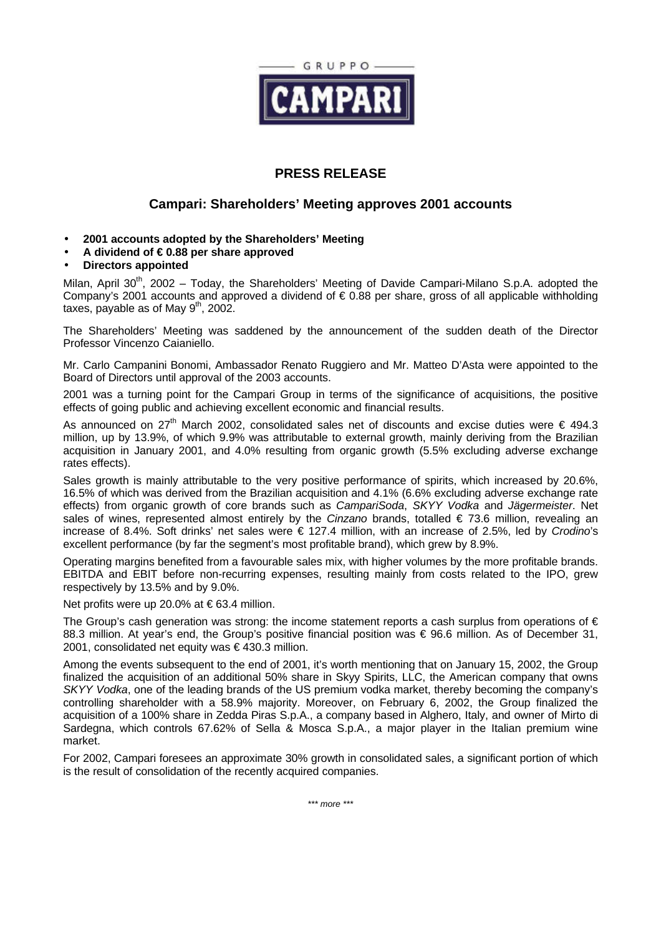

## **PRESS RELEASE**

## **Campari: Shareholders' Meeting approves 2001 accounts**

- **2001 accounts adopted by the Shareholders' Meeting**
- **A dividend of € 0.88 per share approved**
- **Directors appointed**

Milan, April 30<sup>th</sup>, 2002 – Today, the Shareholders' Meeting of Davide Campari-Milano S.p.A. adopted the Company's 2001 accounts and approved a dividend of € 0.88 per share, gross of all applicable withholding taxes, payable as of May  $9<sup>th</sup>$ , 2002.

The Shareholders' Meeting was saddened by the announcement of the sudden death of the Director Professor Vincenzo Caianiello.

Mr. Carlo Campanini Bonomi, Ambassador Renato Ruggiero and Mr. Matteo D'Asta were appointed to the Board of Directors until approval of the 2003 accounts.

2001 was a turning point for the Campari Group in terms of the significance of acquisitions, the positive effects of going public and achieving excellent economic and financial results.

As announced on 27<sup>th</sup> March 2002, consolidated sales net of discounts and excise duties were  $\epsilon$  494.3 million, up by 13.9%, of which 9.9% was attributable to external growth, mainly deriving from the Brazilian acquisition in January 2001, and 4.0% resulting from organic growth (5.5% excluding adverse exchange rates effects).

Sales growth is mainly attributable to the very positive performance of spirits, which increased by 20.6%, 16.5% of which was derived from the Brazilian acquisition and 4.1% (6.6% excluding adverse exchange rate effects) from organic growth of core brands such as *CampariSoda*, *SKYY Vodka* and *Jägermeister*. Net sales of wines, represented almost entirely by the *Cinzano* brands, totalled € 73.6 million, revealing an increase of 8.4%. Soft drinks' net sales were € 127.4 million, with an increase of 2.5%, led by *Crodino*'s excellent performance (by far the segment's most profitable brand), which grew by 8.9%.

Operating margins benefited from a favourable sales mix, with higher volumes by the more profitable brands. EBITDA and EBIT before non-recurring expenses, resulting mainly from costs related to the IPO, grew respectively by 13.5% and by 9.0%.

Net profits were up 20.0% at  $\in$  63.4 million.

The Group's cash generation was strong: the income statement reports a cash surplus from operations of  $\epsilon$ 88.3 million. At year's end, the Group's positive financial position was € 96.6 million. As of December 31, 2001, consolidated net equity was € 430.3 million.

Among the events subsequent to the end of 2001, it's worth mentioning that on January 15, 2002, the Group finalized the acquisition of an additional 50% share in Skyy Spirits, LLC, the American company that owns *SKYY Vodka*, one of the leading brands of the US premium vodka market, thereby becoming the company's controlling shareholder with a 58.9% majority. Moreover, on February 6, 2002, the Group finalized the acquisition of a 100% share in Zedda Piras S.p.A., a company based in Alghero, Italy, and owner of Mirto di Sardegna, which controls 67.62% of Sella & Mosca S.p.A., a major player in the Italian premium wine market.

For 2002, Campari foresees an approximate 30% growth in consolidated sales, a significant portion of which is the result of consolidation of the recently acquired companies.

*\*\*\* more \*\*\**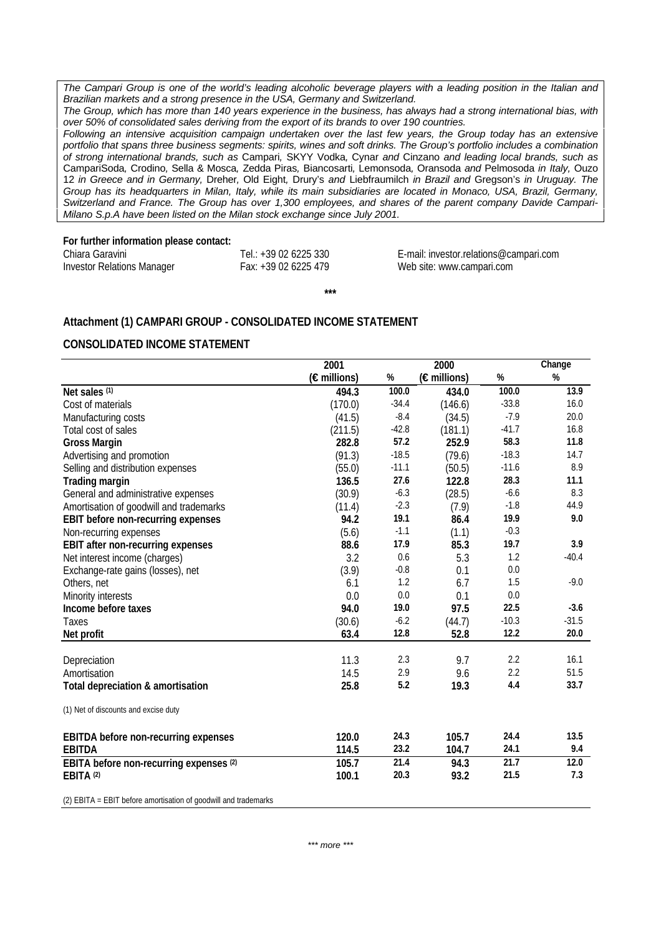*The Campari Group is one of the world's leading alcoholic beverage players with a leading position in the Italian and Brazilian markets and a strong presence in the USA, Germany and Switzerland.*

*The Group, which has more than 140 years experience in the business, has always had a strong international bias, with over 50% of consolidated sales deriving from the export of its brands to over 190 countries.*

*Following an intensive acquisition campaign undertaken over the last few years, the Group today has an extensive portfolio that spans three business segments: spirits, wines and soft drinks. The Group's portfolio includes a combination of strong international brands, such as* Campari*,* SKYY Vodka*,* Cynar *and* Cinzano *and leading local brands, such as* CampariSoda*,* Crodino*,* Sella & Mosca*,* Zedda Piras*,* Biancosarti*,* Lemonsoda*,* Oransoda *and* Pelmosoda *in Italy,* Ouzo 12 *in Greece and in Germany,* Dreher*,* Old Eight*,* Drury's *and* Liebfraumilch *in Brazil and* Gregson's *in Uruguay. The Group has its headquarters in Milan, Italy, while its main subsidiaries are located in Monaco, USA, Brazil, Germany, Switzerland and France. The Group has over 1,300 employees, and shares of the parent company Davide Campari-Milano S.p.A have been listed on the Milan stock exchange since July 2001.*

**\*\*\***

#### **For further information please contact:**

| Chiara Garavini                   | Tel.: +39 02 6225 330 |
|-----------------------------------|-----------------------|
| <b>Investor Relations Manager</b> | Fax: +39 02 6225 479  |

E-mail: investor.relations@campari.com Web site: www.campari.com

### **Attachment (1) CAMPARI GROUP - CONSOLIDATED INCOME STATEMENT**

#### **CONSOLIDATED INCOME STATEMENT**

|                                             | 2001        |         | 2000        |         | Change  |  |
|---------------------------------------------|-------------|---------|-------------|---------|---------|--|
|                                             | (€millions) | $\%$    | (€millions) | $\%$    | $\%$    |  |
| Net sales (1)                               | 494.3       | 100.0   | 434.0       | 100.0   | 13.9    |  |
| Cost of materials                           | (170.0)     | $-34.4$ | (146.6)     | $-33.8$ | 16.0    |  |
| Manufacturing costs                         | (41.5)      | $-8.4$  | (34.5)      | $-7.9$  | 20.0    |  |
| Total cost of sales                         | (211.5)     | $-42.8$ | (181.1)     | $-41.7$ | 16.8    |  |
| <b>Gross Margin</b>                         | 282.8       | 57.2    | 252.9       | 58.3    | 11.8    |  |
| Advertising and promotion                   | (91.3)      | $-18.5$ | (79.6)      | $-18.3$ | 14.7    |  |
| Selling and distribution expenses           | (55.0)      | $-11.1$ | (50.5)      | $-11.6$ | 8.9     |  |
| <b>Trading margin</b>                       | 136.5       | 27.6    | 122.8       | 28.3    | 11.1    |  |
| General and administrative expenses         | (30.9)      | $-6.3$  | (28.5)      | $-6.6$  | 8.3     |  |
| Amortisation of goodwill and trademarks     | (11.4)      | $-2.3$  | (7.9)       | $-1.8$  | 44.9    |  |
| <b>EBIT before non-recurring expenses</b>   | 94.2        | 19.1    | 86.4        | 19.9    | 9.0     |  |
| Non-recurring expenses                      | (5.6)       | $-1.1$  | (1.1)       | $-0.3$  |         |  |
| <b>EBIT after non-recurring expenses</b>    | 88.6        | 17.9    | 85.3        | 19.7    | 3.9     |  |
| Net interest income (charges)               | 3.2         | 0.6     | 5.3         | 1.2     | $-40.4$ |  |
| Exchange-rate gains (losses), net           | (3.9)       | $-0.8$  | 0.1         | 0.0     |         |  |
| Others, net                                 | 6.1         | 1.2     | 6.7         | 1.5     | $-9.0$  |  |
| Minority interests                          | 0.0         | 0.0     | 0.1         | 0.0     |         |  |
| Income before taxes                         | 94.0        | 19.0    | 97.5        | 22.5    | $-3.6$  |  |
| Taxes                                       | (30.6)      | $-6.2$  | (44.7)      | $-10.3$ | $-31.5$ |  |
| Net profit                                  | 63.4        | 12.8    | 52.8        | 12.2    | 20.0    |  |
|                                             |             |         |             |         | 16.1    |  |
| Depreciation                                | 11.3        | 2.3     | 9.7         | 2.2     |         |  |
| Amortisation                                | 14.5        | 2.9     | 9.6         | 2.2     | 51.5    |  |
| Total depreciation & amortisation           | 25.8        | 5.2     | 19.3        | 4.4     | 33.7    |  |
| (1) Net of discounts and excise duty        |             |         |             |         |         |  |
| <b>EBITDA</b> before non-recurring expenses | 120.0       | 24.3    | 105.7       | 24.4    | 13.5    |  |
| <b>EBITDA</b>                               | 114.5       | 23.2    | 104.7       | 24.1    | 9.4     |  |
| EBITA before non-recurring expenses (2)     | 105.7       | 21.4    | 94.3        | 21.7    | 12.0    |  |
| EBITA <sup>(2)</sup>                        | 100.1       | 20.3    | 93.2        | 21.5    | 7.3     |  |
|                                             |             |         |             |         |         |  |

(2) EBITA = EBIT before amortisation of goodwill and trademarks